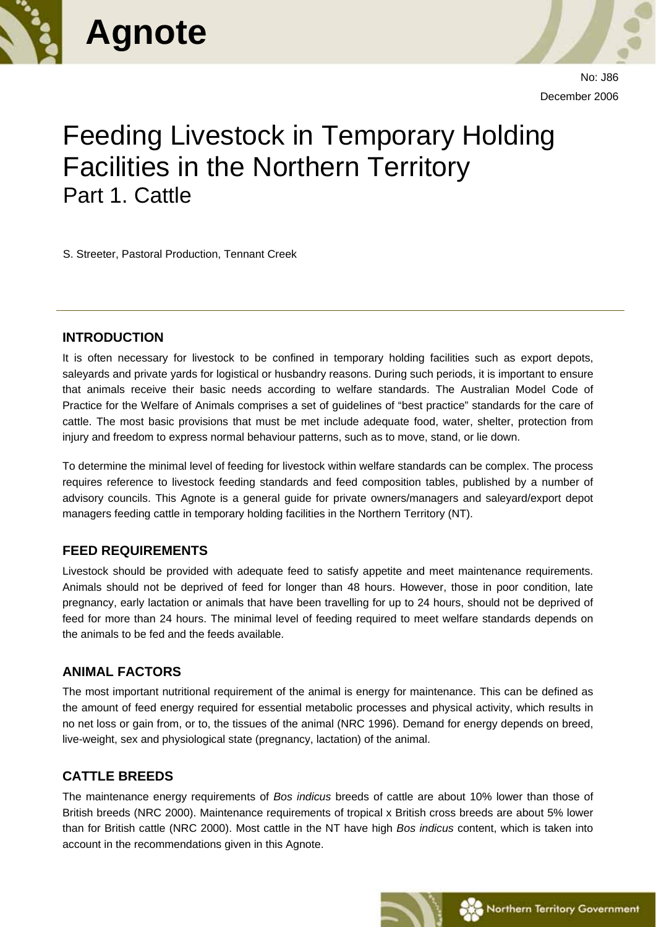



No: J86 December 2006

# Feeding Livestock in Temporary Holding Facilities in the Northern Territory Part 1. Cattle

S. Streeter, Pastoral Production, Tennant Creek

#### **INTRODUCTION**

It is often necessary for livestock to be confined in temporary holding facilities such as export depots, saleyards and private yards for logistical or husbandry reasons. During such periods, it is important to ensure that animals receive their basic needs according to welfare standards. The Australian Model Code of Practice for the Welfare of Animals comprises a set of guidelines of "best practice" standards for the care of cattle. The most basic provisions that must be met include adequate food, water, shelter, protection from injury and freedom to express normal behaviour patterns, such as to move, stand, or lie down.

To determine the minimal level of feeding for livestock within welfare standards can be complex. The process requires reference to livestock feeding standards and feed composition tables, published by a number of advisory councils. This Agnote is a general guide for private owners/managers and saleyard/export depot managers feeding cattle in temporary holding facilities in the Northern Territory (NT).

#### **FEED REQUIREMENTS**

Livestock should be provided with adequate feed to satisfy appetite and meet maintenance requirements. Animals should not be deprived of feed for longer than 48 hours. However, those in poor condition, late pregnancy, early lactation or animals that have been travelling for up to 24 hours, should not be deprived of feed for more than 24 hours. The minimal level of feeding required to meet welfare standards depends on the animals to be fed and the feeds available.

#### **ANIMAL FACTORS**

The most important nutritional requirement of the animal is energy for maintenance. This can be defined as the amount of feed energy required for essential metabolic processes and physical activity, which results in no net loss or gain from, or to, the tissues of the animal (NRC 1996). Demand for energy depends on breed, live-weight, sex and physiological state (pregnancy, lactation) of the animal.

## **CATTLE BREEDS**

The maintenance energy requirements of *Bos indicus* breeds of cattle are about 10% lower than those of British breeds (NRC 2000). Maintenance requirements of tropical x British cross breeds are about 5% lower than for British cattle (NRC 2000). Most cattle in the NT have high *Bos indicus* content, which is taken into account in the recommendations given in this Agnote.

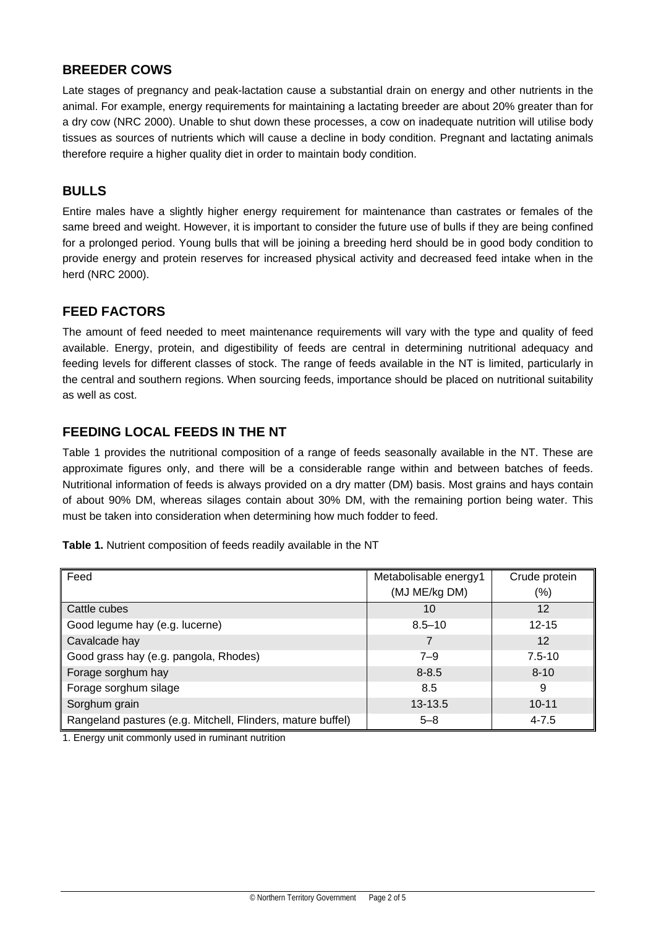#### **BREEDER COWS**

Late stages of pregnancy and peak-lactation cause a substantial drain on energy and other nutrients in the animal. For example, energy requirements for maintaining a lactating breeder are about 20% greater than for a dry cow (NRC 2000). Unable to shut down these processes, a cow on inadequate nutrition will utilise body tissues as sources of nutrients which will cause a decline in body condition. Pregnant and lactating animals therefore require a higher quality diet in order to maintain body condition.

#### **BULLS**

Entire males have a slightly higher energy requirement for maintenance than castrates or females of the same breed and weight. However, it is important to consider the future use of bulls if they are being confined for a prolonged period. Young bulls that will be joining a breeding herd should be in good body condition to provide energy and protein reserves for increased physical activity and decreased feed intake when in the herd (NRC 2000).

#### **FEED FACTORS**

The amount of feed needed to meet maintenance requirements will vary with the type and quality of feed available. Energy, protein, and digestibility of feeds are central in determining nutritional adequacy and feeding levels for different classes of stock. The range of feeds available in the NT is limited, particularly in the central and southern regions. When sourcing feeds, importance should be placed on nutritional suitability as well as cost.

## **FEEDING LOCAL FEEDS IN THE NT**

Table 1 provides the nutritional composition of a range of feeds seasonally available in the NT. These are approximate figures only, and there will be a considerable range within and between batches of feeds. Nutritional information of feeds is always provided on a dry matter (DM) basis. Most grains and hays contain of about 90% DM, whereas silages contain about 30% DM, with the remaining portion being water. This must be taken into consideration when determining how much fodder to feed.

|  |  | Table 1. Nutrient composition of feeds readily available in the NT |  |  |  |  |
|--|--|--------------------------------------------------------------------|--|--|--|--|
|--|--|--------------------------------------------------------------------|--|--|--|--|

| Feed                                                        | Metabolisable energy1 | Crude protein     |
|-------------------------------------------------------------|-----------------------|-------------------|
|                                                             | (MJ ME/kg DM)         | (%)               |
| Cattle cubes                                                | 10                    | 12                |
| Good legume hay (e.g. lucerne)                              | $8.5 - 10$            | $12 - 15$         |
| Cavalcade hay                                               | 7                     | $12 \overline{ }$ |
| Good grass hay (e.g. pangola, Rhodes)                       | $7 - 9$               | $7.5 - 10$        |
| Forage sorghum hay                                          | $8 - 8.5$             | $8 - 10$          |
| Forage sorghum silage                                       | 8.5                   | 9                 |
| Sorghum grain                                               | $13 - 13.5$           | $10 - 11$         |
| Rangeland pastures (e.g. Mitchell, Flinders, mature buffel) | $5 - 8$               | $4 - 7.5$         |

1. Energy unit commonly used in ruminant nutrition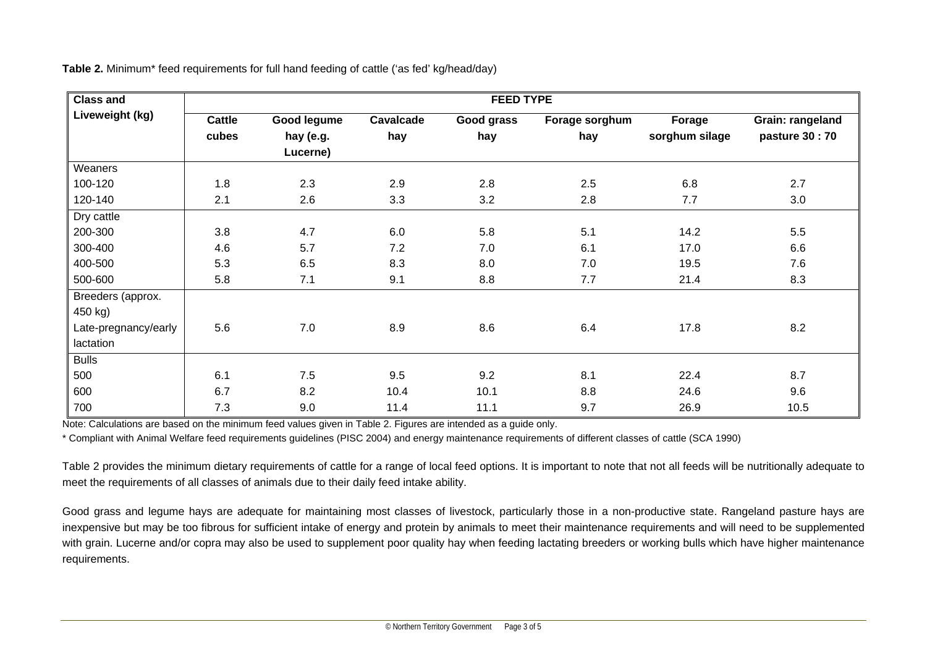| <b>Class and</b>     | <b>FEED TYPE</b> |                       |           |            |                |                |                  |
|----------------------|------------------|-----------------------|-----------|------------|----------------|----------------|------------------|
| Liveweight (kg)      | Cattle           | Good legume           | Cavalcade | Good grass | Forage sorghum | Forage         | Grain: rangeland |
|                      | cubes            | hay (e.g.<br>Lucerne) | hay       | hay        | hay            | sorghum silage | pasture 30:70    |
| Weaners              |                  |                       |           |            |                |                |                  |
| 100-120              | 1.8              | 2.3                   | 2.9       | 2.8        | 2.5            | 6.8            | 2.7              |
| 120-140              | 2.1              | 2.6                   | 3.3       | 3.2        | 2.8            | 7.7            | 3.0              |
| Dry cattle           |                  |                       |           |            |                |                |                  |
| 200-300              | 3.8              | 4.7                   | 6.0       | 5.8        | 5.1            | 14.2           | 5.5              |
| 300-400              | 4.6              | 5.7                   | 7.2       | 7.0        | 6.1            | 17.0           | 6.6              |
| 400-500              | 5.3              | 6.5                   | 8.3       | 8.0        | 7.0            | 19.5           | 7.6              |
| 500-600              | 5.8              | 7.1                   | 9.1       | 8.8        | 7.7            | 21.4           | 8.3              |
| Breeders (approx.    |                  |                       |           |            |                |                |                  |
| 450 kg)              |                  |                       |           |            |                |                |                  |
| Late-pregnancy/early | 5.6              | 7.0                   | 8.9       | 8.6        | 6.4            | 17.8           | 8.2              |
| lactation            |                  |                       |           |            |                |                |                  |
| <b>Bulls</b>         |                  |                       |           |            |                |                |                  |
| 500                  | 6.1              | 7.5                   | 9.5       | 9.2        | 8.1            | 22.4           | 8.7              |
| 600                  | 6.7              | 8.2                   | 10.4      | 10.1       | 8.8            | 24.6           | 9.6              |
| 700                  | 7.3              | 9.0                   | 11.4      | 11.1       | 9.7            | 26.9           | 10.5             |

**Table 2.** Minimum\* feed requirements for full hand feeding of cattle ('as fed' kg/head/day)

Note: Calculations are based on the minimum feed values given in Table 2. Figures are intended as a guide only.

\* Compliant with Animal Welfare feed requirements guidelines (PISC 2004) and energy maintenance requirements of different classes of cattle (SCA 1990)

Table 2 provides the minimum dietary requirements of cattle for a range of local feed options. It is important to note that not all feeds will be nutritionally adequate to meet the requirements of all classes of animals due to their daily feed intake ability.

Good grass and legume hays are adequate for maintaining most classes of livestock, particularly those in a non-productive state. Rangeland pasture hays are inexpensive but may be too fibrous for sufficient intake of energy and protein by animals to meet their maintenance requirements and will need to be supplemented with grain. Lucerne and/or copra may also be used to supplement poor quality hay when feeding lactating breeders or working bulls which have higher maintenance requirements.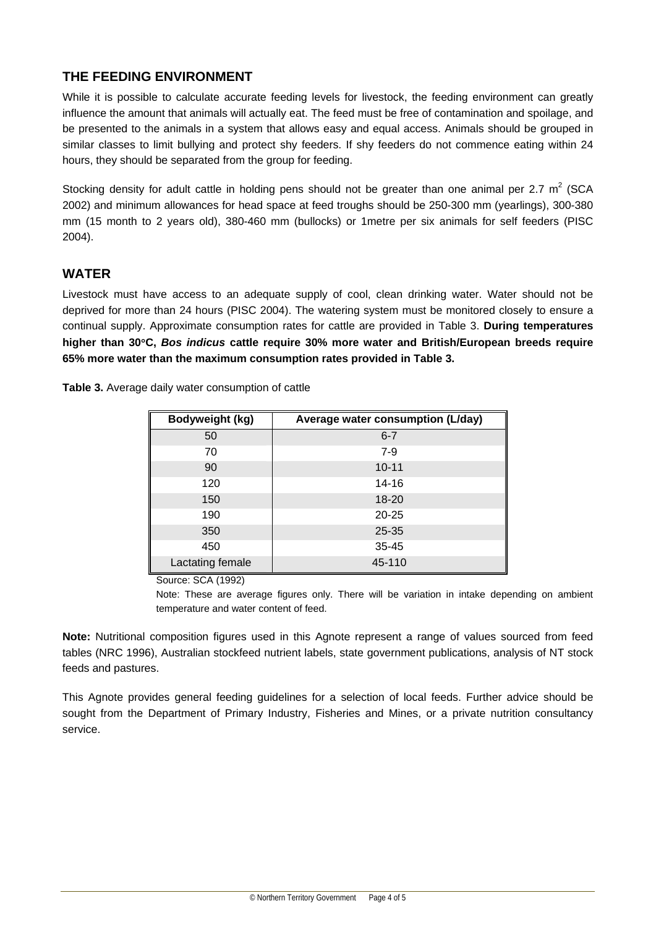## **THE FEEDING ENVIRONMENT**

While it is possible to calculate accurate feeding levels for livestock, the feeding environment can greatly influence the amount that animals will actually eat. The feed must be free of contamination and spoilage, and be presented to the animals in a system that allows easy and equal access. Animals should be grouped in similar classes to limit bullying and protect shy feeders. If shy feeders do not commence eating within 24 hours, they should be separated from the group for feeding.

Stocking density for adult cattle in holding pens should not be greater than one animal per 2.7  $m^2$  (SCA 2002) and minimum allowances for head space at feed troughs should be 250-300 mm (yearlings), 300-380 mm (15 month to 2 years old), 380-460 mm (bullocks) or 1metre per six animals for self feeders (PISC 2004).

#### **WATER**

Livestock must have access to an adequate supply of cool, clean drinking water. Water should not be deprived for more than 24 hours (PISC 2004). The watering system must be monitored closely to ensure a continual supply. Approximate consumption rates for cattle are provided in Table 3. **During temperatures higher than 30**°**C,** *Bos indicus* **cattle require 30% more water and British/European breeds require 65% more water than the maximum consumption rates provided in Table 3.**

**Table 3.** Average daily water consumption of cattle

| Bodyweight (kg)  | Average water consumption (L/day) |
|------------------|-----------------------------------|
| 50               | $6 - 7$                           |
| 70               | $7 - 9$                           |
| 90               | $10 - 11$                         |
| 120              | 14-16                             |
| 150              | $18 - 20$                         |
| 190              | $20 - 25$                         |
| 350              | 25-35                             |
| 450              | $35 - 45$                         |
| Lactating female | 45-110                            |

Source: SCA (1992)

Note: These are average figures only. There will be variation in intake depending on ambient temperature and water content of feed.

**Note:** Nutritional composition figures used in this Agnote represent a range of values sourced from feed tables (NRC 1996), Australian stockfeed nutrient labels, state government publications, analysis of NT stock feeds and pastures.

This Agnote provides general feeding guidelines for a selection of local feeds. Further advice should be sought from the Department of Primary Industry, Fisheries and Mines, or a private nutrition consultancy service.